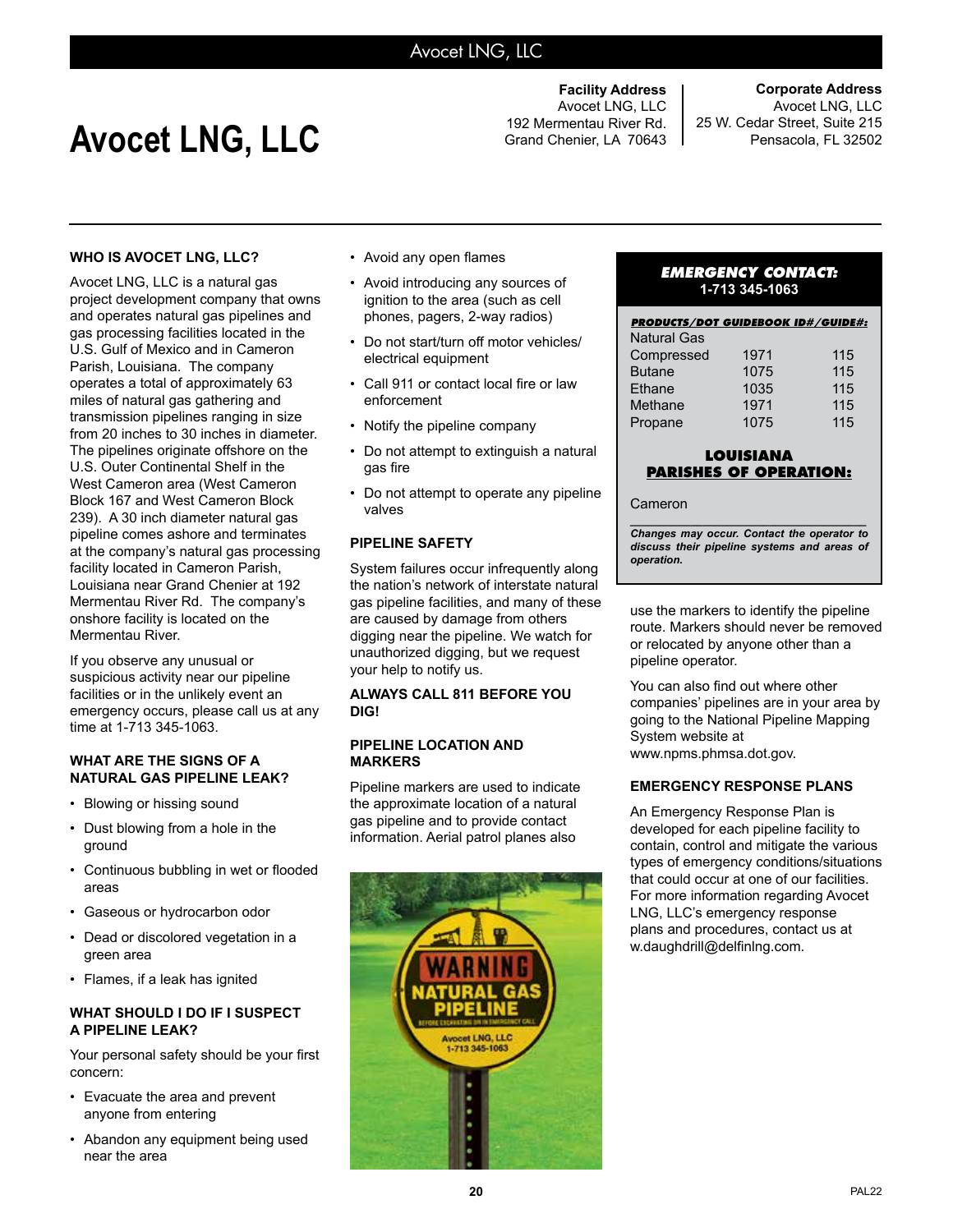### Avocet LNG, LLC

# Avocet LNG, LLC<br>Grand Chenier, LA 70643

**Facility Address** Avocet LNG, LLC

**Corporate Address** Avocet LNG, LLC 25 W. Cedar Street, Suite 215 Pensacola, FL 32502

#### **WHO IS AVOCET LNG, LLC?**

Avocet LNG, LLC is a natural gas project development company that owns and operates natural gas pipelines and gas processing facilities located in the U.S. Gulf of Mexico and in Cameron Parish, Louisiana. The company operates a total of approximately 63 miles of natural gas gathering and transmission pipelines ranging in size from 20 inches to 30 inches in diameter. The pipelines originate offshore on the U.S. Outer Continental Shelf in the West Cameron area (West Cameron Block 167 and West Cameron Block 239). A 30 inch diameter natural gas pipeline comes ashore and terminates at the company's natural gas processing facility located in Cameron Parish, Louisiana near Grand Chenier at 192 Mermentau River Rd. The company's onshore facility is located on the Mermentau River.

If you observe any unusual or suspicious activity near our pipeline facilities or in the unlikely event an emergency occurs, please call us at any time at 1-713 345-1063.

#### **WHAT ARE THE SIGNS OF A NATURAL GAS PIPELINE LEAK?**

- Blowing or hissing sound
- Dust blowing from a hole in the ground
- • Continuous bubbling in wet or flooded areas
- Gaseous or hydrocarbon odor
- Dead or discolored vegetation in a green area
- Flames, if a leak has ignited

#### **WHAT SHOULD I DO IF I SUSPECT A PIPELINE LEAK?**

Your personal safety should be your first concern:

- Evacuate the area and prevent anyone from entering
- Abandon any equipment being used near the area
- • Avoid any open flames
- Avoid introducing any sources of ignition to the area (such as cell phones, pagers, 2-way radios)
- Do not start/turn off motor vehicles/ electrical equipment
- • Call 911 or contact local fire or law enforcement
- Notify the pipeline company
- Do not attempt to extinguish a natural gas fire
- Do not attempt to operate any pipeline valves

#### **PIPELINE SAFETY**

System failures occur infrequently along the nation's network of interstate natural gas pipeline facilities, and many of these are caused by damage from others digging near the pipeline. We watch for unauthorized digging, but we request your help to notify us.

#### **ALWAYS CALL 811 BEFORE YOU DIG!**

#### **PIPELINE LOCATION AND MARKERS**

Pipeline markers are used to indicate the approximate location of a natural gas pipeline and to provide contact information. Aerial patrol planes also



#### *EMERGENCY CONTACT:* **1-713 345-1063**

| <b>PRODUCTS/DOT GUIDEBOOK ID#/GUIDE#:</b> |      |     |
|-------------------------------------------|------|-----|
| <b>Natural Gas</b>                        |      |     |
| Compressed                                | 1971 | 115 |
| <b>Butane</b>                             | 1075 | 115 |
| Ethane                                    | 1035 | 115 |
| Methane                                   | 1971 | 115 |
| Propane                                   | 1075 | 115 |

#### **LOUISIANA PARISHES OF OPERATION:**

#### Cameron

*\_\_\_\_\_\_\_\_\_\_\_\_\_\_\_\_\_\_\_\_\_\_\_\_\_\_\_\_\_\_\_\_\_\_\_\_\_\_\_ Changes may occur. Contact the operator to discuss their pipeline systems and areas of operation.*

use the markers to identify the pipeline route. Markers should never be removed or relocated by anyone other than a pipeline operator.

You can also find out where other companies' pipelines are in your area by going to the National Pipeline Mapping System website at www.npms.phmsa.dot.gov.

#### **EMERGENCY RESPONSE PLANS**

An Emergency Response Plan is developed for each pipeline facility to contain, control and mitigate the various types of emergency conditions/situations that could occur at one of our facilities. For more information regarding Avocet LNG, LLC's emergency response plans and procedures, contact us at w.daughdrill@delfinlng.com.